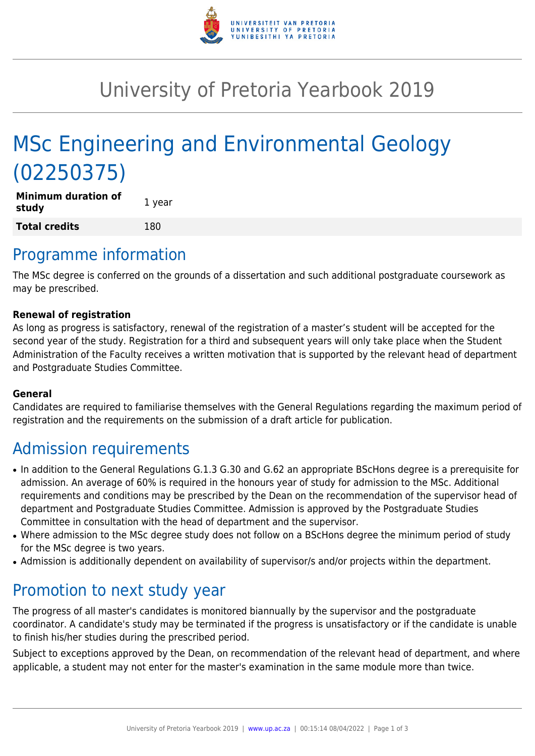

## University of Pretoria Yearbook 2019

# MSc Engineering and Environmental Geology (02250375)

| <b>Minimum duration of</b><br>study | 1 year |
|-------------------------------------|--------|
| <b>Total credits</b>                | 180    |

### Programme information

The MSc degree is conferred on the grounds of a dissertation and such additional postgraduate coursework as may be prescribed.

#### **Renewal of registration**

As long as progress is satisfactory, renewal of the registration of a master's student will be accepted for the second year of the study. Registration for a third and subsequent years will only take place when the Student Administration of the Faculty receives a written motivation that is supported by the relevant head of department and Postgraduate Studies Committee.

#### **General**

Candidates are required to familiarise themselves with the General Regulations regarding the maximum period of registration and the requirements on the submission of a draft article for publication.

### Admission requirements

- In addition to the General Regulations G.1.3 G.30 and G.62 an appropriate BScHons degree is a prerequisite for admission. An average of 60% is required in the honours year of study for admission to the MSc. Additional requirements and conditions may be prescribed by the Dean on the recommendation of the supervisor head of department and Postgraduate Studies Committee. Admission is approved by the Postgraduate Studies Committee in consultation with the head of department and the supervisor.
- Where admission to the MSc degree study does not follow on a BScHons degree the minimum period of study for the MSc degree is two years.
- Admission is additionally dependent on availability of supervisor/s and/or projects within the department.

#### Promotion to next study year

The progress of all master's candidates is monitored biannually by the supervisor and the postgraduate coordinator. A candidate's study may be terminated if the progress is unsatisfactory or if the candidate is unable to finish his/her studies during the prescribed period.

Subject to exceptions approved by the Dean, on recommendation of the relevant head of department, and where applicable, a student may not enter for the master's examination in the same module more than twice.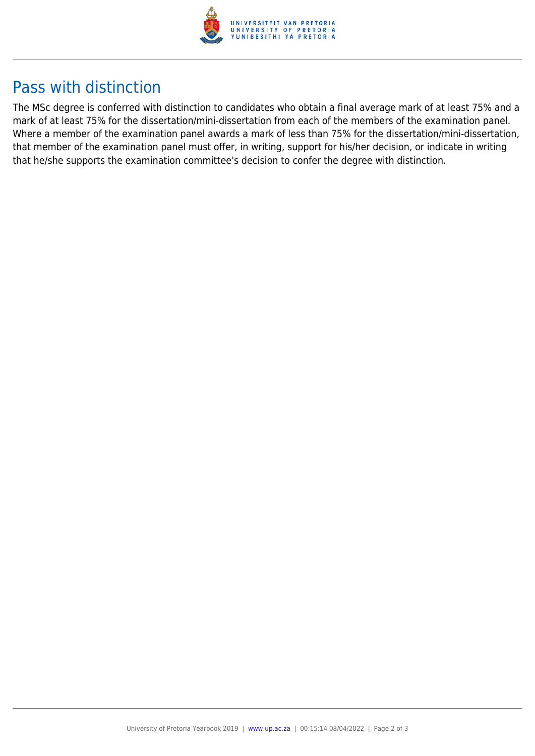

## Pass with distinction

The MSc degree is conferred with distinction to candidates who obtain a final average mark of at least 75% and a mark of at least 75% for the dissertation/mini-dissertation from each of the members of the examination panel. Where a member of the examination panel awards a mark of less than 75% for the dissertation/mini-dissertation, that member of the examination panel must offer, in writing, support for his/her decision, or indicate in writing that he/she supports the examination committee's decision to confer the degree with distinction.